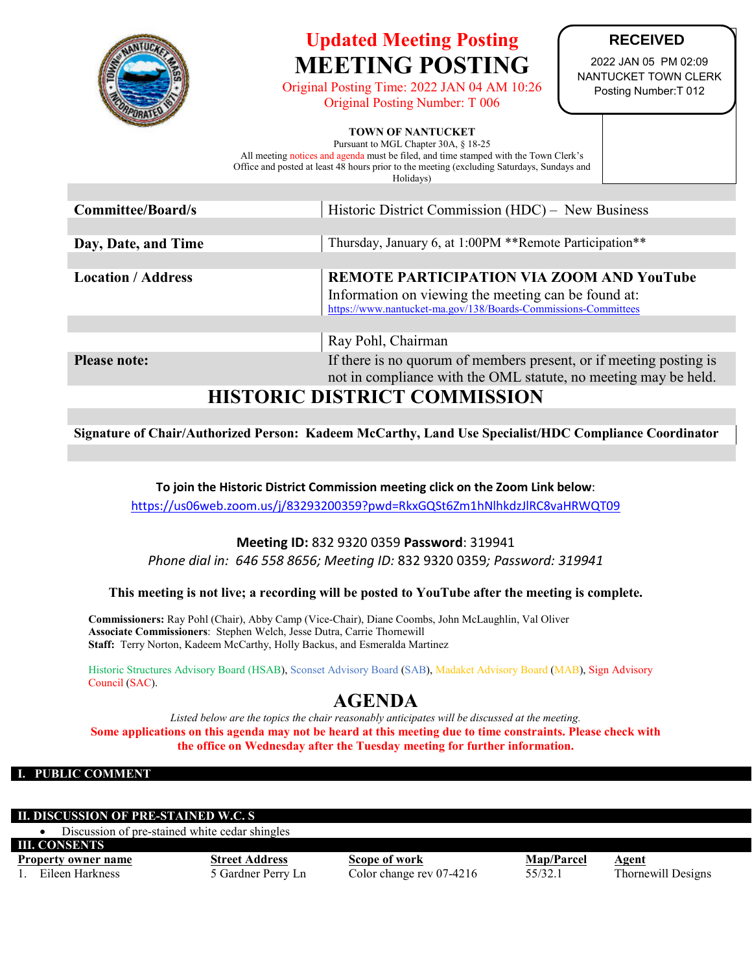

# **Updated Meeting Posting MEETING POSTING**

Original Posting Time: 2022 JAN 04 AM 10:26 Original Posting Number: T 006

### **RECEIVED**

2022 JAN 05 PM 02:09 NANTUCKET TOWN CLERK Posting Number:T 012

#### **TOWN OF NANTUCKET**

Pursuant to MGL Chapter 30A, § 18-25 All meeting notices and agenda must be filed, and time stamped with the Town Clerk's Office and posted at least 48 hours prior to the meeting (excluding Saturdays, Sundays and Holidays)

| Committee/Board/s               | Historic District Commission (HDC) – New Business                                                                                                                         |  |  |  |
|---------------------------------|---------------------------------------------------------------------------------------------------------------------------------------------------------------------------|--|--|--|
|                                 |                                                                                                                                                                           |  |  |  |
| Day, Date, and Time             | Thursday, January 6, at 1:00PM **Remote Participation**                                                                                                                   |  |  |  |
|                                 |                                                                                                                                                                           |  |  |  |
| <b>Location / Address</b>       | <b>REMOTE PARTICIPATION VIA ZOOM AND YouTube</b><br>Information on viewing the meeting can be found at:<br>https://www.nantucket-ma.gov/138/Boards-Commissions-Committees |  |  |  |
|                                 |                                                                                                                                                                           |  |  |  |
|                                 | Ray Pohl, Chairman                                                                                                                                                        |  |  |  |
| <b>Please note:</b>             | If there is no quorum of members present, or if meeting posting is<br>not in compliance with the OML statute, no meeting may be held.                                     |  |  |  |
| IIIATADIA DIATDIAT AAMU IJAAJAM |                                                                                                                                                                           |  |  |  |

## **HISTORIC DISTRICT COMMISSION**

**Signature of Chair/Authorized Person: Kadeem McCarthy, Land Use Specialist/HDC Compliance Coordinator**

**To join the Historic District Commission meeting click on the Zoom Link below**:

<https://us06web.zoom.us/j/83293200359?pwd=RkxGQSt6Zm1hNlhkdzJlRC8vaHRWQT09>

#### **Meeting ID:** 832 9320 0359 **Password**: 319941

*Phone dial in: 646 558 8656; Meeting ID:* 832 9320 0359*; Password: 319941*

**This meeting is not live; a recording will be posted to YouTube after the meeting is complete.**

**Commissioners:** Ray Pohl (Chair), Abby Camp (Vice-Chair), Diane Coombs, John McLaughlin, Val Oliver **Associate Commissioners**: Stephen Welch, Jesse Dutra, Carrie Thornewill **Staff:** Terry Norton, Kadeem McCarthy, Holly Backus, and Esmeralda Martinez

Historic Structures Advisory Board (HSAB), Sconset Advisory Board (SAB), Madaket Advisory Board (MAB), Sign Advisory Council (SAC).

## **AGENDA**

*Listed below are the topics the chair reasonably anticipates will be discussed at the meeting.* **Some applications on this agenda may not be heard at this meeting due to time constraints. Please check with the office on Wednesday after the Tuesday meeting for further information.**

#### **I. PUBLIC COMMENT**

#### **DISCUSSION OF PRE-STAINED W.C. S**

• Discussion of pre-stained white cedar shingles

**III. CONSENTS** 

**Property owner name**<br> **Street Address**<br> **Scope of work**<br> **Scope of work**<br> **Scope of work**<br> **Scope of work**<br> **Scope of work**<br> **Scope of work**<br> **SS/32.1**<br> **Bileen Harkness**<br> **Bileen Harkness**<br> **Bileen Harkness**<br> **Bileen Har** Eileen Harkness 5 Gardner Perry Ln Color change rev 07-4216 55/32.1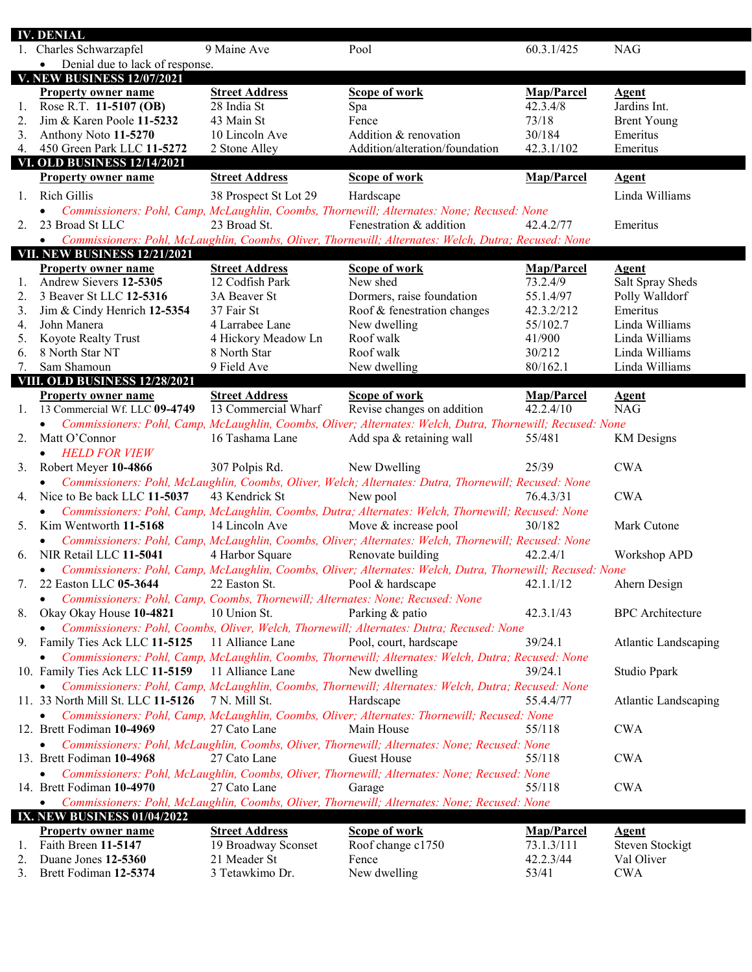|          | IV. DENIAL                                                                     |                                 |                                                                                                            |                    |                             |
|----------|--------------------------------------------------------------------------------|---------------------------------|------------------------------------------------------------------------------------------------------------|--------------------|-----------------------------|
|          | 1. Charles Schwarzapfel                                                        | 9 Maine Ave                     | Pool                                                                                                       | 60.3.1/425         | <b>NAG</b>                  |
|          | Denial due to lack of response.<br>$\bullet$                                   |                                 |                                                                                                            |                    |                             |
|          | <b>V. NEW BUSINESS 12/07/2021</b>                                              |                                 |                                                                                                            |                    |                             |
|          | <b>Property owner name</b>                                                     | <b>Street Address</b>           | <b>Scope of work</b>                                                                                       | Map/Parcel         | <b>Agent</b>                |
| 1.       | Rose R.T. 11-5107 (OB)                                                         | 28 India St                     | Spa                                                                                                        | 42.3.4/8           | Jardins Int.                |
| 2.       | Jim & Karen Poole 11-5232                                                      | 43 Main St                      | Fence                                                                                                      | 73/18              | <b>Brent Young</b>          |
| 3.       | Anthony Noto 11-5270                                                           | 10 Lincoln Ave                  | Addition & renovation                                                                                      | 30/184             | Emeritus                    |
| 4.       | 450 Green Park LLC 11-5272                                                     | 2 Stone Alley                   | Addition/alteration/foundation                                                                             | 42.3.1/102         | Emeritus                    |
|          | <b>VI. OLD BUSINESS 12/14/2021</b>                                             |                                 |                                                                                                            |                    |                             |
|          | <b>Property owner name</b>                                                     | <b>Street Address</b>           | Scope of work                                                                                              | Map/Parcel         | <b>Agent</b>                |
| 1.       | <b>Rich Gillis</b>                                                             | 38 Prospect St Lot 29           | Hardscape                                                                                                  |                    | Linda Williams              |
|          |                                                                                |                                 | Commissioners: Pohl, Camp, McLaughlin, Coombs, Thornewill; Alternates: None; Recused: None                 |                    |                             |
| 2.       | 23 Broad St LLC                                                                | 23 Broad St.                    | Fenestration & addition                                                                                    | 42.4.2/77          | Emeritus                    |
|          | $\bullet$                                                                      |                                 | Commissioners: Pohl, McLaughlin, Coombs, Oliver, Thornewill; Alternates: Welch, Dutra; Recused: None       |                    |                             |
|          | <b>VII. NEW BUSINESS 12/21/2021</b>                                            |                                 |                                                                                                            |                    |                             |
|          | <b>Property owner name</b>                                                     | <b>Street Address</b>           | Scope of work                                                                                              | Map/Parcel         | <b>Agent</b>                |
| 1.       | Andrew Sievers 12-5305                                                         | 12 Codfish Park                 | New shed                                                                                                   | 73.2.4/9           | Salt Spray Sheds            |
| 2.       | 3 Beaver St LLC 12-5316                                                        | 3A Beaver St                    | Dormers, raise foundation                                                                                  | 55.1.4/97          | Polly Walldorf              |
| 3.       | Jim & Cindy Henrich 12-5354                                                    | 37 Fair St                      | Roof & fenestration changes                                                                                | 42.3.2/212         | Emeritus                    |
| 4.       | John Manera                                                                    | 4 Larrabee Lane                 | New dwelling                                                                                               | 55/102.7           | Linda Williams              |
| 5.       | Koyote Realty Trust                                                            | 4 Hickory Meadow Ln             | Roof walk                                                                                                  | 41/900             | Linda Williams              |
| 6.       | 8 North Star NT                                                                | 8 North Star                    | Roof walk                                                                                                  | 30/212             | Linda Williams              |
| 7.       | Sam Shamoun                                                                    | 9 Field Ave                     | New dwelling                                                                                               | 80/162.1           | Linda Williams              |
|          | VIII. OLD BUSINESS 12/28/2021                                                  |                                 |                                                                                                            |                    |                             |
|          | <b>Property owner name</b>                                                     | <b>Street Address</b>           | <b>Scope of work</b>                                                                                       | Map/Parcel         | <b>Agent</b>                |
| 1.       | 13 Commercial Wf. LLC 09-4749                                                  | 13 Commercial Wharf             | Revise changes on addition                                                                                 | 42.2.4/10          | <b>NAG</b>                  |
|          | $\bullet$                                                                      |                                 | Commissioners: Pohl, Camp, McLaughlin, Coombs, Oliver; Alternates: Welch, Dutra, Thornewill; Recused: None |                    |                             |
| 2.       | Matt O'Connor                                                                  | 16 Tashama Lane                 | Add spa & retaining wall                                                                                   | 55/481             | <b>KM</b> Designs           |
|          | <b>HELD FOR VIEW</b><br>$\bullet$                                              |                                 |                                                                                                            |                    |                             |
|          |                                                                                |                                 |                                                                                                            |                    |                             |
|          |                                                                                |                                 |                                                                                                            | 25/39              |                             |
| 3.       | Robert Meyer 10-4866                                                           | 307 Polpis Rd.                  | New Dwelling                                                                                               |                    | <b>CWA</b>                  |
|          |                                                                                |                                 | Commissioners: Pohl, McLaughlin, Coombs, Oliver, Welch; Alternates: Dutra, Thornewill; Recused: None       |                    |                             |
|          | 4. Nice to Be back LLC 11-5037                                                 | 43 Kendrick St                  | New pool                                                                                                   | 76.4.3/31          | <b>CWA</b>                  |
|          | $\bullet$                                                                      |                                 | Commissioners: Pohl, Camp, McLaughlin, Coombs, Dutra; Alternates: Welch, Thornewill; Recused: None         |                    |                             |
| 5.       | Kim Wentworth 11-5168                                                          | 14 Lincoln Ave                  | Move & increase pool                                                                                       | 30/182             | Mark Cutone                 |
|          | $\bullet$                                                                      |                                 | Commissioners: Pohl, Camp, McLaughlin, Coombs, Oliver; Alternates: Welch, Thornewill; Recused: None        |                    |                             |
|          | 6. NIR Retail LLC 11-5041                                                      | 4 Harbor Square                 | Renovate building                                                                                          | 42.2.4/1           | Workshop APD                |
|          | $\bullet$                                                                      |                                 | Commissioners: Pohl, Camp, McLaughlin, Coombs, Oliver; Alternates: Welch, Dutra, Thornewill; Recused: None |                    |                             |
|          | 22 Easton LLC 05-3644                                                          | 22 Easton St. Pool & hardscape  |                                                                                                            | 42.1.1/12          | Ahern Design                |
|          | Commissioners: Pohl, Camp, Coombs, Thornewill; Alternates: None; Recused: None |                                 |                                                                                                            |                    |                             |
| 8.       | Okay Okay House 10-4821                                                        | 10 Union St.                    | Parking & patio                                                                                            | 42.3.1/43          | <b>BPC</b> Architecture     |
|          |                                                                                |                                 | Commissioners: Pohl, Coombs, Oliver, Welch, Thornewill; Alternates: Dutra; Recused: None                   |                    |                             |
|          | 9. Family Ties Ack LLC 11-5125                                                 | 11 Alliance Lane                | Pool, court, hardscape                                                                                     | 39/24.1            | <b>Atlantic Landscaping</b> |
|          |                                                                                |                                 | Commissioners: Pohl, Camp, McLaughlin, Coombs, Thornewill; Alternates: Welch, Dutra; Recused: None         |                    |                             |
|          | 10. Family Ties Ack LLC 11-5159                                                | 11 Alliance Lane                | New dwelling                                                                                               | 39/24.1            | Studio Ppark                |
|          |                                                                                |                                 | Commissioners: Pohl, Camp, McLaughlin, Coombs, Thornewill; Alternates: Welch, Dutra; Recused: None         |                    |                             |
|          | 11. 33 North Mill St. LLC 11-5126                                              | 7 N. Mill St.                   | Hardscape                                                                                                  | 55.4.4/77          | <b>Atlantic Landscaping</b> |
|          |                                                                                |                                 | Commissioners: Pohl, Camp, McLaughlin, Coombs, Oliver; Alternates: Thornewill; Recused: None               |                    |                             |
|          | 12. Brett Fodiman 10-4969                                                      | 27 Cato Lane                    | Main House                                                                                                 | 55/118             | <b>CWA</b>                  |
|          | $\bullet$                                                                      |                                 | Commissioners: Pohl, McLaughlin, Coombs, Oliver, Thornewill; Alternates: None; Recused: None               |                    |                             |
|          | 13. Brett Fodiman 10-4968                                                      | 27 Cato Lane                    | <b>Guest House</b>                                                                                         | 55/118             | <b>CWA</b>                  |
|          |                                                                                |                                 | Commissioners: Pohl, McLaughlin, Coombs, Oliver, Thornewill; Alternates: None; Recused: None               |                    |                             |
|          | 14. Brett Fodiman 10-4970                                                      | 27 Cato Lane                    | Garage                                                                                                     | 55/118             | <b>CWA</b>                  |
|          | $\bullet$                                                                      |                                 | Commissioners: Pohl, McLaughlin, Coombs, Oliver, Thornewill; Alternates: None; Recused: None               |                    |                             |
|          | IX. NEW BUSINESS 01/04/2022                                                    |                                 |                                                                                                            |                    |                             |
|          | <b>Property owner name</b>                                                     | <b>Street Address</b>           | <b>Scope of work</b>                                                                                       | <b>Map/Parcel</b>  | <b>Agent</b>                |
| 1.       | Faith Breen 11-5147                                                            | 19 Broadway Sconset             | Roof change c1750                                                                                          | 73.1.3/111         | Steven Stockigt             |
| 2.<br>3. | Duane Jones 12-5360<br>Brett Fodiman 12-5374                                   | 21 Meader St<br>3 Tetawkimo Dr. | Fence<br>New dwelling                                                                                      | 42.2.3/44<br>53/41 | Val Oliver<br><b>CWA</b>    |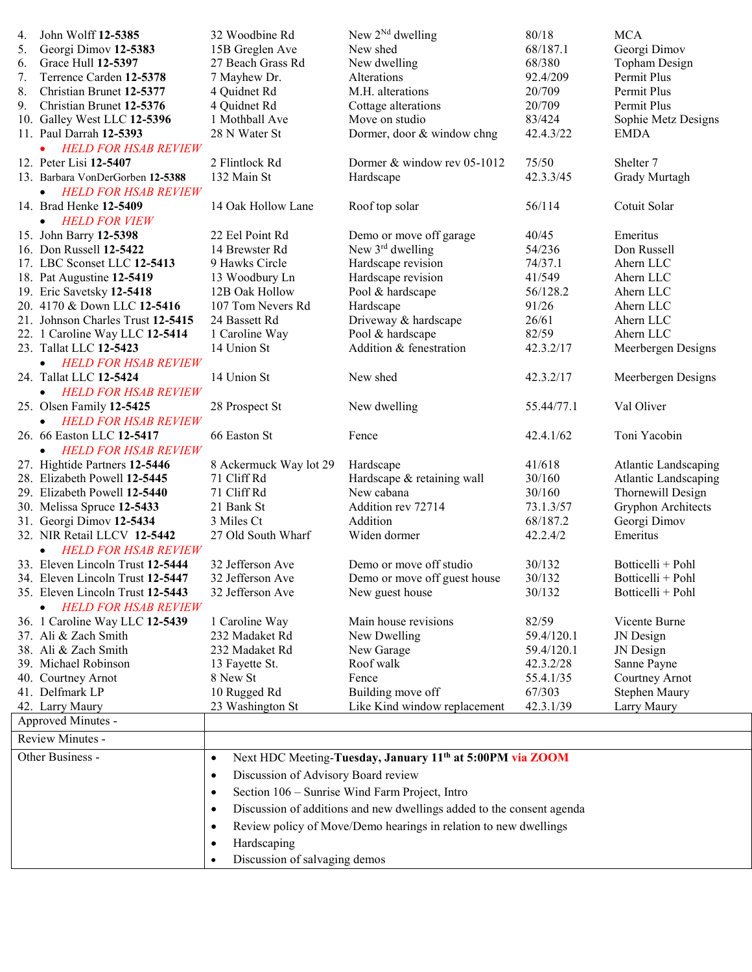| 4. | John Wolff 12-5385                       | 32 Woodbine Rd                                   | New $2^{Nd}$ dwelling                                                 | 80/18      | <b>MCA</b>                  |
|----|------------------------------------------|--------------------------------------------------|-----------------------------------------------------------------------|------------|-----------------------------|
| 5. | Georgi Dimov 12-5383                     | 15B Greglen Ave                                  | New shed                                                              | 68/187.1   | Georgi Dimov                |
| 6. | Grace Hull 12-5397                       | 27 Beach Grass Rd                                | New dwelling                                                          | 68/380     | Topham Design               |
| 7. | Terrence Carden 12-5378                  | 7 Mayhew Dr.                                     | Alterations                                                           | 92.4/209   | Permit Plus                 |
| 8. | Christian Brunet 12-5377                 | 4 Quidnet Rd                                     | M.H. alterations                                                      | 20/709     | Permit Plus                 |
| 9. | Christian Brunet 12-5376                 | 4 Quidnet Rd                                     | Cottage alterations                                                   | 20/709     | Permit Plus                 |
|    | 10. Galley West LLC 12-5396              | 1 Mothball Ave                                   | Move on studio                                                        | 83/424     | Sophie Metz Designs         |
|    | 11. Paul Darrah 12-5393                  | 28 N Water St                                    | Dormer, door & window chng                                            | 42.4.3/22  | <b>EMDA</b>                 |
|    | <b>HELD FOR HSAB REVIEW</b>              |                                                  |                                                                       |            |                             |
|    | 12. Peter Lisi 12-5407                   | 2 Flintlock Rd                                   | Dormer & window rev 05-1012                                           | 75/50      | Shelter <sub>7</sub>        |
|    | 13. Barbara VonDerGorben 12-5388         | 132 Main St                                      | Hardscape                                                             | 42.3.3/45  | Grady Murtagh               |
|    | <b>HELD FOR HSAB REVIEW</b><br>$\bullet$ |                                                  |                                                                       |            |                             |
|    | 14. Brad Henke 12-5409                   | 14 Oak Hollow Lane                               | Roof top solar                                                        | 56/114     | Cotuit Solar                |
|    | <b>HELD FOR VIEW</b><br>$\bullet$        |                                                  |                                                                       |            |                             |
|    | 15. John Barry 12-5398                   | 22 Eel Point Rd                                  | Demo or move off garage                                               | 40/45      | Emeritus                    |
|    | 16. Don Russell 12-5422                  | 14 Brewster Rd                                   | New $3rd$ dwelling                                                    | 54/236     | Don Russell                 |
|    | 17. LBC Sconset LLC 12-5413              | 9 Hawks Circle                                   | Hardscape revision                                                    | 74/37.1    | Ahern LLC                   |
|    | 18. Pat Augustine 12-5419                | 13 Woodbury Ln                                   | Hardscape revision                                                    | 41/549     | Ahern LLC                   |
|    | 19. Eric Savetsky 12-5418                | 12B Oak Hollow                                   | Pool & hardscape                                                      | 56/128.2   | Ahern LLC                   |
|    | 20. 4170 & Down LLC 12-5416              | 107 Tom Nevers Rd                                | Hardscape                                                             | 91/26      | Ahern LLC                   |
|    | 21. Johnson Charles Trust 12-5415        | 24 Bassett Rd                                    | Driveway & hardscape                                                  | 26/61      | Ahern LLC                   |
|    | 22. 1 Caroline Way LLC 12-5414           | 1 Caroline Way                                   | Pool & hardscape                                                      | 82/59      | Ahern LLC                   |
|    | 23. Tallat LLC 12-5423                   | 14 Union St                                      | Addition & fenestration                                               | 42.3.2/17  | Meerbergen Designs          |
|    | • HELD FOR HSAB REVIEW                   |                                                  |                                                                       |            |                             |
|    | 24. Tallat LLC 12-5424                   | 14 Union St                                      | New shed                                                              | 42.3.2/17  | Meerbergen Designs          |
|    | • HELD FOR HSAB REVIEW                   |                                                  |                                                                       |            |                             |
|    | 25. Olsen Family 12-5425                 | 28 Prospect St                                   | New dwelling                                                          | 55.44/77.1 | Val Oliver                  |
|    | • HELD FOR HSAB REVIEW                   |                                                  |                                                                       |            |                             |
|    | 26. 66 Easton LLC 12-5417                | 66 Easton St                                     | Fence                                                                 | 42.4.1/62  | Toni Yacobin                |
|    | • HELD FOR HSAB REVIEW                   |                                                  |                                                                       |            |                             |
|    | 27. Hightide Partners 12-5446            | 8 Ackermuck Way lot 29                           | Hardscape                                                             | 41/618     | <b>Atlantic Landscaping</b> |
|    | 28. Elizabeth Powell 12-5445             | 71 Cliff Rd                                      | Hardscape & retaining wall                                            | 30/160     | <b>Atlantic Landscaping</b> |
|    | 29. Elizabeth Powell 12-5440             | 71 Cliff Rd                                      | New cabana                                                            | 30/160     | Thornewill Design           |
|    | 30. Melissa Spruce 12-5433               | 21 Bank St                                       | Addition rev 72714                                                    | 73.1.3/57  | Gryphon Architects          |
|    | 31. Georgi Dimov 12-5434                 | 3 Miles Ct                                       | Addition                                                              | 68/187.2   | Georgi Dimov                |
|    | 32. NIR Retail LLCV 12-5442              | 27 Old South Wharf                               | Widen dormer                                                          | 42.2.4/2   | Emeritus                    |
|    | • HELD FOR HSAB REVIEW                   |                                                  |                                                                       |            |                             |
|    | 33. Eleven Lincoln Trust 12-5444         | 32 Jefferson Ave                                 | Demo or move off studio                                               | 30/132     | Botticelli + Pohl           |
|    | 34. Eleven Lincoln Trust 12-5447         | 32 Jefferson Ave                                 | Demo or move off guest house                                          | 30/132     | Botticelli + Pohl           |
|    | 35. Eleven Lincoln Trust 12-5443         | 32 Jefferson Ave                                 | New guest house                                                       | 30/132     | Botticelli + Pohl           |
|    | <b>HELD FOR HSAB REVIEW</b><br>$\bullet$ |                                                  |                                                                       |            |                             |
|    | 36. 1 Caroline Way LLC 12-5439           | 1 Caroline Way                                   | Main house revisions                                                  | 82/59      | Vicente Burne               |
|    | 37. Ali & Zach Smith                     | 232 Madaket Rd                                   | New Dwelling                                                          | 59.4/120.1 | JN Design                   |
|    | 38. Ali & Zach Smith                     | 232 Madaket Rd                                   | New Garage                                                            | 59.4/120.1 | JN Design                   |
|    | 39. Michael Robinson                     | 13 Fayette St.                                   | Roof walk                                                             | 42.3.2/28  | Sanne Payne                 |
|    | 40. Courtney Arnot                       | 8 New St                                         | Fence                                                                 | 55.4.1/35  | Courtney Arnot              |
|    | 41. Delfmark LP                          | 10 Rugged Rd                                     | Building move off                                                     | 67/303     | Stephen Maury               |
|    | 42. Larry Maury                          | 23 Washington St                                 | Like Kind window replacement                                          | 42.3.1/39  | Larry Maury                 |
|    | Approved Minutes -                       |                                                  |                                                                       |            |                             |
|    | Review Minutes -                         |                                                  |                                                                       |            |                             |
|    | Other Business -                         | $\bullet$                                        | Next HDC Meeting-Tuesday, January 11 <sup>th</sup> at 5:00PM via ZOOM |            |                             |
|    |                                          | Discussion of Advisory Board review<br>$\bullet$ |                                                                       |            |                             |
|    |                                          |                                                  |                                                                       |            |                             |
|    |                                          | $\bullet$                                        | Section 106 - Sunrise Wind Farm Project, Intro                        |            |                             |
|    |                                          | $\bullet$                                        | Discussion of additions and new dwellings added to the consent agenda |            |                             |
|    |                                          | $\bullet$                                        | Review policy of Move/Demo hearings in relation to new dwellings      |            |                             |
|    |                                          | Hardscaping<br>$\bullet$                         |                                                                       |            |                             |
|    |                                          | Discussion of salvaging demos<br>$\bullet$       |                                                                       |            |                             |
|    |                                          |                                                  |                                                                       |            |                             |